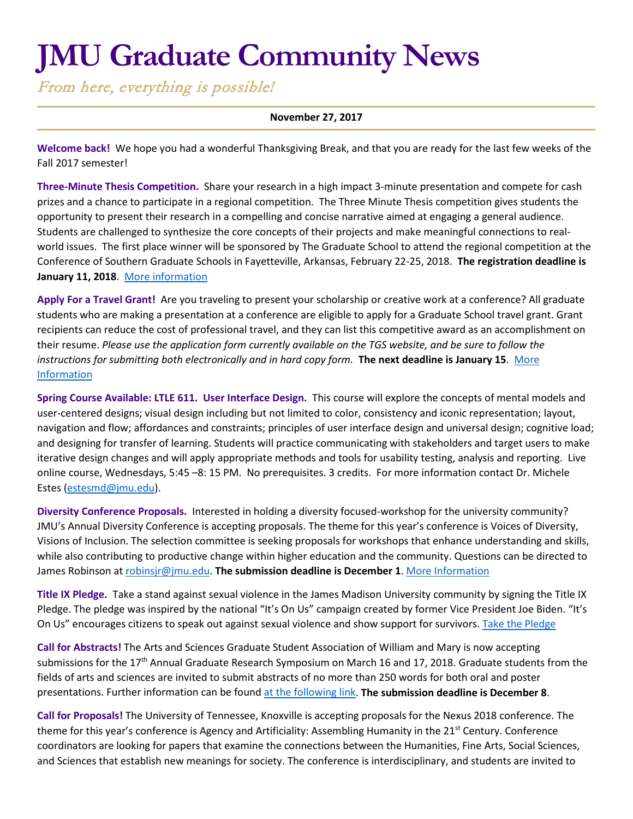# **JMU Graduate Community News**

From here, everything is possible!

#### **November 27, 2017**

**Welcome back!** We hope you had a wonderful Thanksgiving Break, and that you are ready for the last few weeks of the Fall 2017 semester!

**Three-Minute Thesis Competition.** Share your research in a high impact 3-minute presentation and compete for cash prizes and a chance to participate in a regional competition. The Three Minute Thesis competition gives students the opportunity to present their research in a compelling and concise narrative aimed at engaging a general audience. Students are challenged to synthesize the core concepts of their projects and make meaningful connections to realworld issues. The first place winner will be sponsored by The Graduate School to attend the regional competition at the Conference of Southern Graduate Schools in Fayetteville, Arkansas, February 22-25, 2018. **The registration deadline is January 11, 2018**. [More information](http://www.jmu.edu/grad/current-students/three-minute-thesis.shtml)

**Apply For a Travel Grant!** Are you traveling to present your scholarship or creative work at a conference? All graduate students who are making a presentation at a conference are eligible to apply for a Graduate School travel grant. Grant recipients can reduce the cost of professional travel, and they can list this competitive award as an accomplishment on their resume. *Please use the application form currently available on the TGS website, and be sure to follow the instructions for submitting both electronically and in hard copy form.* **The next deadline is January 15**. [More](http://www.jmu.edu/grad/current-students/awards/travel-grants.shtml)  [Information](http://www.jmu.edu/grad/current-students/awards/travel-grants.shtml)

**Spring Course Available: LTLE 611. User Interface Design.** This course will explore the concepts of mental models and user-centered designs; visual design including but not limited to color, consistency and iconic representation; layout, navigation and flow; affordances and constraints; principles of user interface design and universal design; cognitive load; and designing for transfer of learning. Students will practice communicating with stakeholders and target users to make iterative design changes and will apply appropriate methods and tools for usability testing, analysis and reporting. Live online course, Wednesdays, 5:45 –8: 15 PM. No prerequisites. 3 credits. For more information contact Dr. Michele Estes [\(estesmd@jmu.edu\)](mailto:estesmd@jmu.edu).

**Diversity Conference Proposals.** Interested in holding a diversity focused-workshop for the university community? JMU's Annual Diversity Conference is accepting proposals. The theme for this year's conference is Voices of Diversity, Visions of Inclusion. The selection committee is seeking proposals for workshops that enhance understanding and skills, while also contributing to productive change within higher education and the community. Questions can be directed to James Robinson a[t robinsjr@jmu.edu.](mailto:robinsjr@jmu.edu) **The submission deadline is December 1**. [More Information](https://jmu.co1.qualtrics.com/jfe/form/SV_bO6dGGBkz4H6CtT)

**Title IX Pledge.** Take a stand against sexual violence in the James Madison University community by signing the Title IX Pledge. The pledge was inspired by the national "It's On Us" campaign created by former Vice President Joe Biden. "It's On Us" encourages citizens to speak out against sexual violence and show support for survivors[. Take the Pledge](https://www.jmu.edu/access-and-enrollment/titleIX/pledge.shtml)

**Call for Abstracts!** The Arts and Sciences Graduate Student Association of William and Mary is now accepting submissions for the 17<sup>th</sup> Annual Graduate Research Symposium on March 16 and 17, 2018. Graduate students from the fields of arts and sciences are invited to submit abstracts of no more than 250 words for both oral and poster presentations. Further information can be found [at the following link.](https://www.wm.edu/as/graduate/graduate-symposium/) **The submission deadline is December 8**.

**Call for Proposals!** The University of Tennessee, Knoxville is accepting proposals for the Nexus 2018 conference. The theme for this year's conference is Agency and Artificiality: Assembling Humanity in the 21<sup>st</sup> Century. Conference coordinators are looking for papers that examine the connections between the Humanities, Fine Arts, Social Sciences, and Sciences that establish new meanings for society. The conference is interdisciplinary, and students are invited to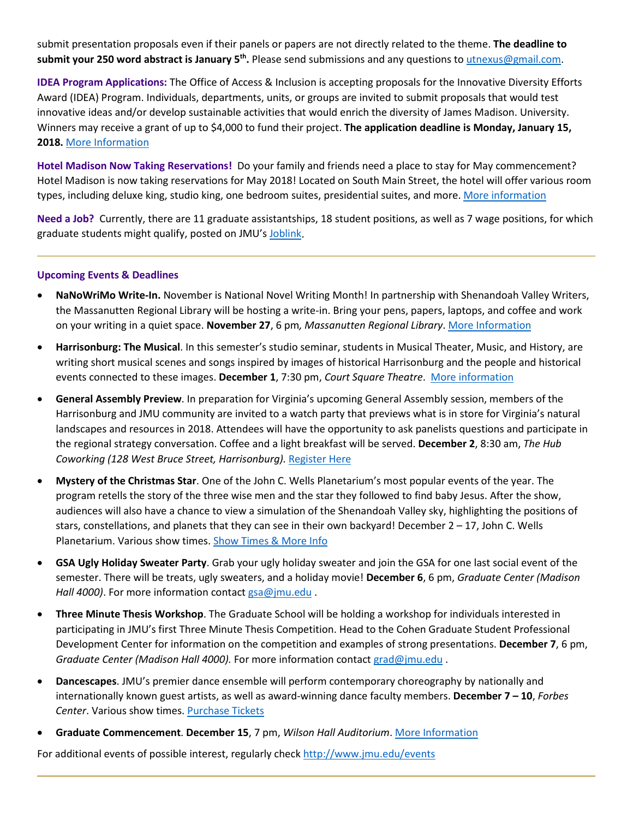submit presentation proposals even if their panels or papers are not directly related to the theme. **The deadline to submit your 250 word abstract is January 5th.** Please send submissions and any questions to [utnexus@gmail.com.](mailto:utnexus@gmail.com)

**IDEA Program Applications:** The Office of Access & Inclusion is accepting proposals for the Innovative Diversity Efforts Award (IDEA) Program. Individuals, departments, units, or groups are invited to submit proposals that would test innovative ideas and/or develop sustainable activities that would enrich the diversity of James Madison. University. Winners may receive a grant of up to \$4,000 to fund their project. **The application deadline is Monday, January 15, 2018.** [More Information](http://www.jmu.edu/diversity/programs-and-events/idea.shtml)

**Hotel Madison Now Taking Reservations!** Do your family and friends need a place to stay for May commencement? Hotel Madison is now taking reservations for May 2018! Located on South Main Street, the hotel will offer various room types, including deluxe king, studio king, one bedroom suites, presidential suites, and more[. More information](http://www.hotelmadison.com/)

**Need a Job?** Currently, there are 11 graduate assistantships, 18 student positions, as well as 7 wage positions, for which graduate students might qualify, posted on JMU's [Joblink.](https://joblink.jmu.edu/)

### **Upcoming Events & Deadlines**

- **NaNoWriMo Write-In.** November is National Novel Writing Month! In partnership with Shenandoah Valley Writers, the Massanutten Regional Library will be hosting a write-in. Bring your pens, papers, laptops, and coffee and work on your writing in a quiet space. **November 27**, 6 pm*, Massanutten Regional Library*. [More Information](https://downtownharrisonburg.org/downtown-calendar/)
- **Harrisonburg: The Musical**. In this semester's studio seminar, students in Musical Theater, Music, and History, are writing short musical scenes and songs inspired by images of historical Harrisonburg and the people and historical events connected to these images. **December 1**, 7:30 pm, *Court Square Theatre*. [More information](https://www.jmu.edu/events/ivs/2017/12-01-harrisonburg-musical.shtml)
- **General Assembly Preview**. In preparation for Virginia's upcoming General Assembly session, members of the Harrisonburg and JMU community are invited to a watch party that previews what is in store for Virginia's natural landscapes and resources in 2018. Attendees will have the opportunity to ask panelists questions and participate in the regional strategy conversation. Coffee and a light breakfast will be served. **December 2**, 8:30 am, *The Hub Coworking (128 West Bruce Street, Harrisonburg).* [Register Here](https://urldefense.proofpoint.com/v2/url?u=https-3A__www.eventbrite.com_e_general-2Dassembly-2Dpreview-2Dtickets-2D39228262790&d=DwMFaQ&c=eLbWYnpnzycBCgmb7vCI4uqNEB9RSjOdn_5nBEmmeq0&r=O7LiNJilwLXI57AXHxp7cg&m=RMK1a9xmkPziGIwMe_MSRXnSklFAT16BWEzyTNZBz-Q&s=LYQjnjFvTrCipoe3PA8ibYHvX-CRDmhlxgDeWznyHx0&e=)
- **Mystery of the Christmas Star**. One of the John C. Wells Planetarium's most popular events of the year. The program retells the story of the three wise men and the star they followed to find baby Jesus. After the show, audiences will also have a chance to view a simulation of the Shenandoah Valley sky, highlighting the positions of stars, constellations, and planets that they can see in their own backyard! December  $2 - 17$ , John C. Wells Planetarium. Various show times[. Show Times & More Info](http://www.jmu.edu/events/planetarium/12/3-christmas-star-returns.shtml)
- **GSA Ugly Holiday Sweater Party**. Grab your ugly holiday sweater and join the GSA for one last social event of the semester. There will be treats, ugly sweaters, and a holiday movie! **December 6**, 6 pm, *Graduate Center (Madison Hall 4000)*. For more information contact [gsa@jmu.edu](mailto:gsa@jmu.edu) .
- **Three Minute Thesis Workshop**. The Graduate School will be holding a workshop for individuals interested in participating in JMU's first Three Minute Thesis Competition. Head to the Cohen Graduate Student Professional Development Center for information on the competition and examples of strong presentations. **December 7**, 6 pm, *Graduate Center (Madison Hall 4000).* For more information contac[t grad@jmu.edu](mailto:grad@jmu.edu) .
- **Dancescapes**. JMU's premier dance ensemble will perform contemporary choreography by nationally and internationally known guest artists, as well as award-winning dance faculty members. **December 7 – 10**, *Forbes Center*. Various show times. [Purchase Tickets](http://www.jmu.edu/forbescenter/events/2017/12/07-dancescapes.shtml)
- **Graduate Commencement**. **December 15**, 7 pm, *Wilson Hall Auditorium*. [More Information](http://www.jmu.edu/commencement/generalinformation.shtml)

For additional events of possible interest, regularly check<http://www.jmu.edu/events>